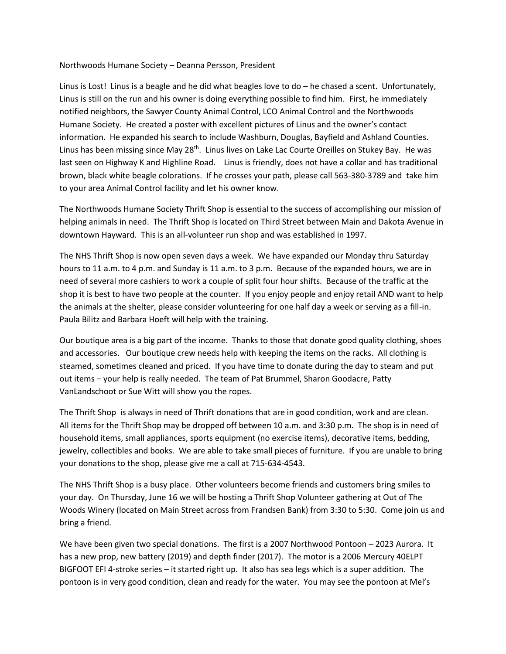## Northwoods Humane Society – Deanna Persson, President

Linus is Lost! Linus is a beagle and he did what beagles love to do – he chased a scent. Unfortunately, Linus is still on the run and his owner is doing everything possible to find him. First, he immediately notified neighbors, the Sawyer County Animal Control, LCO Animal Control and the Northwoods Humane Society. He created a poster with excellent pictures of Linus and the owner's contact information. He expanded his search to include Washburn, Douglas, Bayfield and Ashland Counties. Linus has been missing since May 28<sup>th</sup>. Linus lives on Lake Lac Courte Oreilles on Stukey Bay. He was last seen on Highway K and Highline Road. Linus is friendly, does not have a collar and has traditional brown, black white beagle colorations. If he crosses your path, please call 563-380-3789 and take him to your area Animal Control facility and let his owner know.

The Northwoods Humane Society Thrift Shop is essential to the success of accomplishing our mission of helping animals in need. The Thrift Shop is located on Third Street between Main and Dakota Avenue in downtown Hayward. This is an all-volunteer run shop and was established in 1997.

The NHS Thrift Shop is now open seven days a week. We have expanded our Monday thru Saturday hours to 11 a.m. to 4 p.m. and Sunday is 11 a.m. to 3 p.m. Because of the expanded hours, we are in need of several more cashiers to work a couple of split four hour shifts. Because of the traffic at the shop it is best to have two people at the counter. If you enjoy people and enjoy retail AND want to help the animals at the shelter, please consider volunteering for one half day a week or serving as a fill-in. Paula Bilitz and Barbara Hoeft will help with the training.

Our boutique area is a big part of the income. Thanks to those that donate good quality clothing, shoes and accessories. Our boutique crew needs help with keeping the items on the racks. All clothing is steamed, sometimes cleaned and priced. If you have time to donate during the day to steam and put out items – your help is really needed. The team of Pat Brummel, Sharon Goodacre, Patty VanLandschoot or Sue Witt will show you the ropes.

The Thrift Shop is always in need of Thrift donations that are in good condition, work and are clean. All items for the Thrift Shop may be dropped off between 10 a.m. and 3:30 p.m. The shop is in need of household items, small appliances, sports equipment (no exercise items), decorative items, bedding, jewelry, collectibles and books. We are able to take small pieces of furniture. If you are unable to bring your donations to the shop, please give me a call at 715-634-4543.

The NHS Thrift Shop is a busy place. Other volunteers become friends and customers bring smiles to your day. On Thursday, June 16 we will be hosting a Thrift Shop Volunteer gathering at Out of The Woods Winery (located on Main Street across from Frandsen Bank) from 3:30 to 5:30. Come join us and bring a friend.

We have been given two special donations. The first is a 2007 Northwood Pontoon – 2023 Aurora. It has a new prop, new battery (2019) and depth finder (2017). The motor is a 2006 Mercury 40ELPT BIGFOOT EFI 4-stroke series – it started right up. It also has sea legs which is a super addition. The pontoon is in very good condition, clean and ready for the water. You may see the pontoon at Mel's